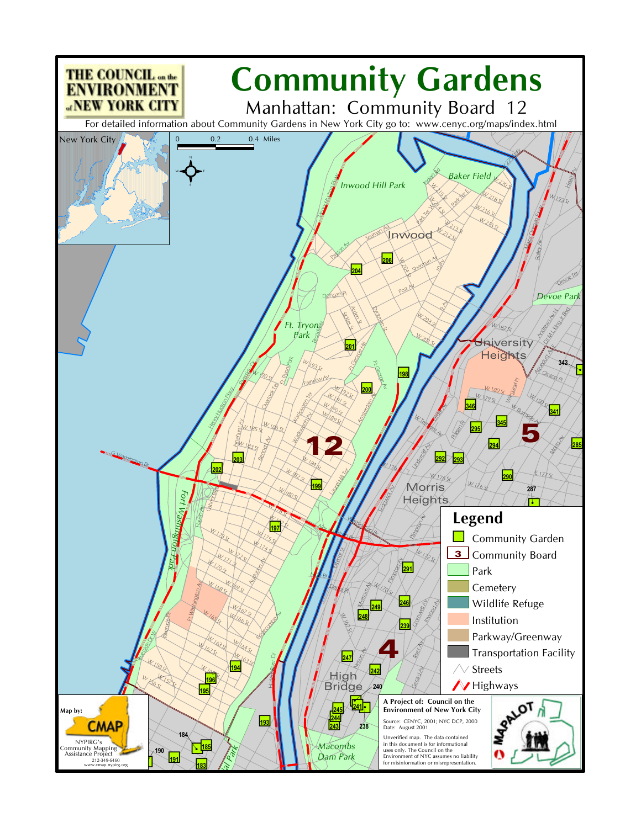